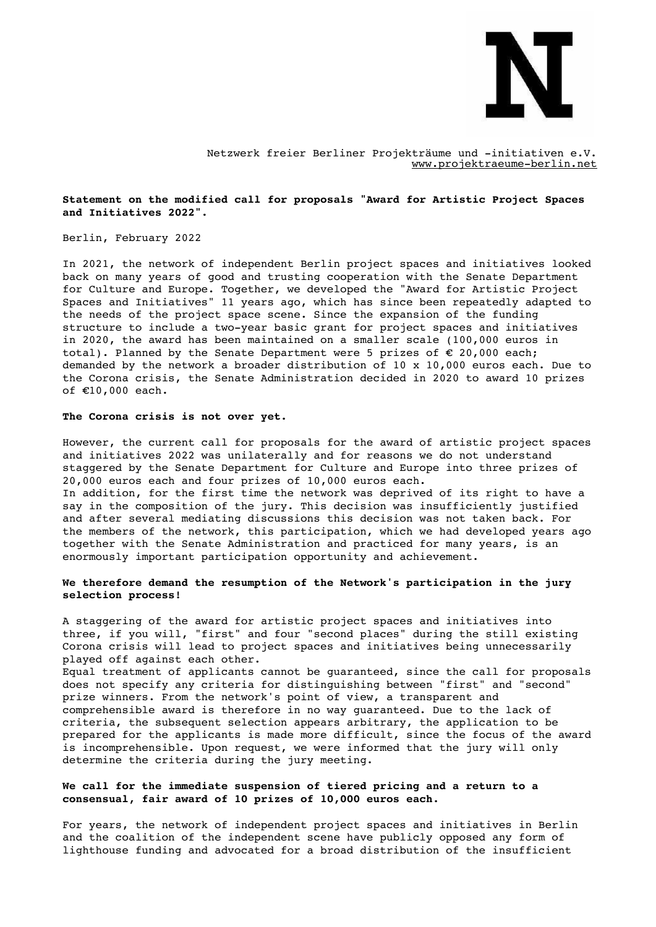

Netzwerk freier Berliner Projekträume und -initiativen e.V. [www.projektraeume-berlin.net](http://www.projektraeume-berlin.net/)

# **Statement on the modified call for proposals "Award for Artistic Project Spaces and Initiatives 2022".**

## Berlin, February 2022

In 2021, the network of independent Berlin project spaces and initiatives looked back on many years of good and trusting cooperation with the Senate Department for Culture and Europe. Together, we developed the "Award for Artistic Project Spaces and Initiatives" 11 years ago, which has since been repeatedly adapted to the needs of the project space scene. Since the expansion of the funding structure to include a two-year basic grant for project spaces and initiatives in 2020, the award has been maintained on a smaller scale (100,000 euros in total). Planned by the Senate Department were 5 prizes of € 20,000 each; demanded by the network a broader distribution of 10 x 10,000 euros each. Due to the Corona crisis, the Senate Administration decided in 2020 to award 10 prizes of €10,000 each.

#### **The Corona crisis is not over yet.**

However, the current call for proposals for the award of artistic project spaces and initiatives 2022 was unilaterally and for reasons we do not understand staggered by the Senate Department for Culture and Europe into three prizes of 20,000 euros each and four prizes of 10,000 euros each. In addition, for the first time the network was deprived of its right to have a say in the composition of the jury. This decision was insufficiently justified and after several mediating discussions this decision was not taken back. For the members of the network, this participation, which we had developed years ago together with the Senate Administration and practiced for many years, is an enormously important participation opportunity and achievement.

## **We therefore demand the resumption of the Network's participation in the jury selection process!**

A staggering of the award for artistic project spaces and initiatives into three, if you will, "first" and four "second places" during the still existing Corona crisis will lead to project spaces and initiatives being unnecessarily played off against each other. Equal treatment of applicants cannot be guaranteed, since the call for proposals does not specify any criteria for distinguishing between "first" and "second" prize winners. From the network's point of view, a transparent and comprehensible award is therefore in no way guaranteed. Due to the lack of criteria, the subsequent selection appears arbitrary, the application to be prepared for the applicants is made more difficult, since the focus of the award is incomprehensible. Upon request, we were informed that the jury will only

## **We call for the immediate suspension of tiered pricing and a return to a consensual, fair award of 10 prizes of 10,000 euros each.**

determine the criteria during the jury meeting.

For years, the network of independent project spaces and initiatives in Berlin and the coalition of the independent scene have publicly opposed any form of lighthouse funding and advocated for a broad distribution of the insufficient